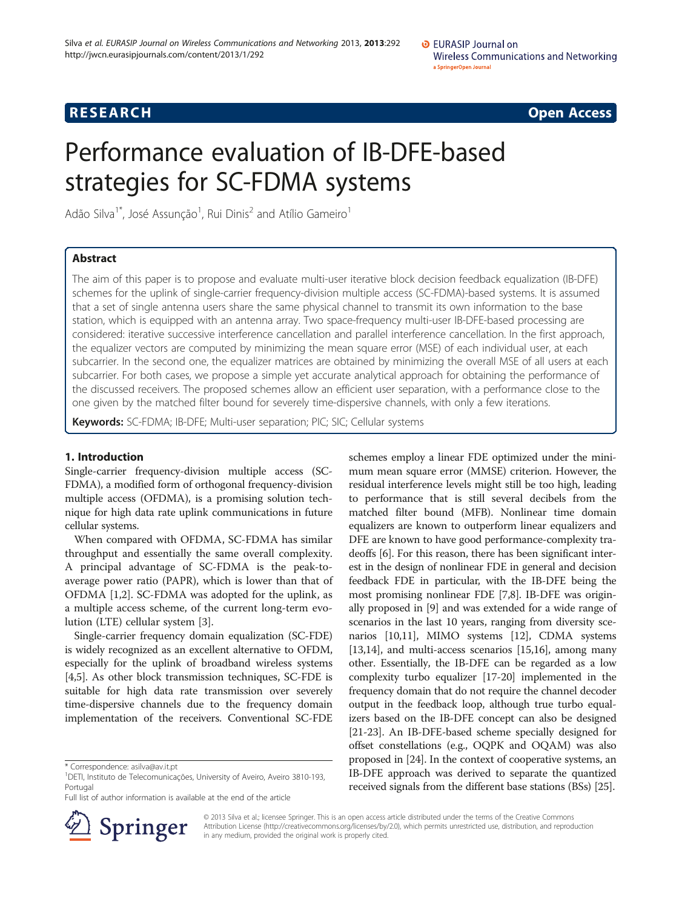# **RESEARCH RESEARCH CONSUMING ACCESS**

# Performance evaluation of IB-DFE-based strategies for SC-FDMA systems

Adão Silva $^{1^{\ast}}$ , José Assunção $^{1}$ , Rui Dinis $^{2}$  and Atílio Gameiro $^{1}$ 

# Abstract

The aim of this paper is to propose and evaluate multi-user iterative block decision feedback equalization (IB-DFE) schemes for the uplink of single-carrier frequency-division multiple access (SC-FDMA)-based systems. It is assumed that a set of single antenna users share the same physical channel to transmit its own information to the base station, which is equipped with an antenna array. Two space-frequency multi-user IB-DFE-based processing are considered: iterative successive interference cancellation and parallel interference cancellation. In the first approach, the equalizer vectors are computed by minimizing the mean square error (MSE) of each individual user, at each subcarrier. In the second one, the equalizer matrices are obtained by minimizing the overall MSE of all users at each subcarrier. For both cases, we propose a simple yet accurate analytical approach for obtaining the performance of the discussed receivers. The proposed schemes allow an efficient user separation, with a performance close to the one given by the matched filter bound for severely time-dispersive channels, with only a few iterations.

Keywords: SC-FDMA; IB-DFE; Multi-user separation; PIC; SIC; Cellular systems

# 1. Introduction

Single-carrier frequency-division multiple access (SC-FDMA), a modified form of orthogonal frequency-division multiple access (OFDMA), is a promising solution technique for high data rate uplink communications in future cellular systems.

When compared with OFDMA, SC-FDMA has similar throughput and essentially the same overall complexity. A principal advantage of SC-FDMA is the peak-toaverage power ratio (PAPR), which is lower than that of OFDMA [\[1,2](#page-9-0)]. SC-FDMA was adopted for the uplink, as a multiple access scheme, of the current long-term evolution (LTE) cellular system [\[3](#page-9-0)].

Single-carrier frequency domain equalization (SC-FDE) is widely recognized as an excellent alternative to OFDM, especially for the uplink of broadband wireless systems [[4,5](#page-9-0)]. As other block transmission techniques, SC-FDE is suitable for high data rate transmission over severely time-dispersive channels due to the frequency domain implementation of the receivers. Conventional SC-FDE

Full list of author information is available at the end of the article



schemes employ a linear FDE optimized under the minimum mean square error (MMSE) criterion. However, the residual interference levels might still be too high, leading to performance that is still several decibels from the matched filter bound (MFB). Nonlinear time domain equalizers are known to outperform linear equalizers and DFE are known to have good performance-complexity tradeoffs [\[6](#page-9-0)]. For this reason, there has been significant interest in the design of nonlinear FDE in general and decision feedback FDE in particular, with the IB-DFE being the most promising nonlinear FDE [[7,8](#page-9-0)]. IB-DFE was originally proposed in [\[9](#page-9-0)] and was extended for a wide range of scenarios in the last 10 years, ranging from diversity scenarios [\[10,11\]](#page-9-0), MIMO systems [\[12\]](#page-9-0), CDMA systems [[13](#page-9-0),[14](#page-9-0)], and multi-access scenarios [[15,16\]](#page-9-0), among many other. Essentially, the IB-DFE can be regarded as a low complexity turbo equalizer [[17](#page-9-0)-[20](#page-9-0)] implemented in the frequency domain that do not require the channel decoder output in the feedback loop, although true turbo equalizers based on the IB-DFE concept can also be designed [[21](#page-9-0)-[23\]](#page-9-0). An IB-DFE-based scheme specially designed for offset constellations (e.g., OQPK and OQAM) was also proposed in [[24](#page-9-0)]. In the context of cooperative systems, an IB-DFE approach was derived to separate the quantized received signals from the different base stations (BSs) [\[25\]](#page-9-0).

© 2013 Silva et al.; licensee Springer. This is an open access article distributed under the terms of the Creative Commons Attribution License [\(http://creativecommons.org/licenses/by/2.0\)](http://creativecommons.org/licenses/by/2.0), which permits unrestricted use, distribution, and reproduction in any medium, provided the original work is properly cited.

<sup>\*</sup> Correspondence: [asilva@av.it.pt](mailto:asilva@av.it.pt) <sup>1</sup>

DETI, Instituto de Telecomunicações, University of Aveiro, Aveiro 3810-193, Portugal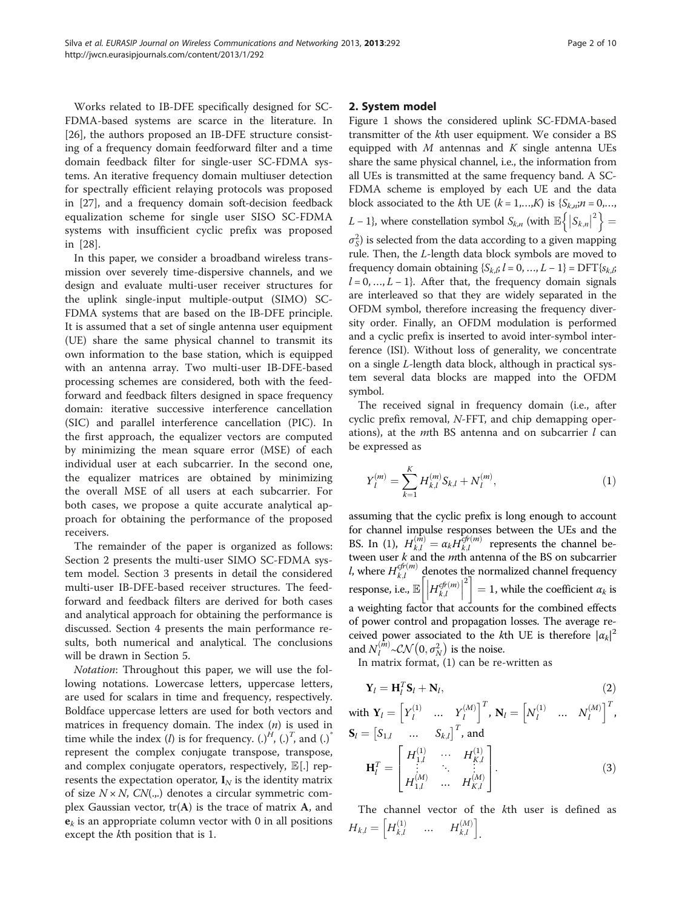Works related to IB-DFE specifically designed for SC-FDMA-based systems are scarce in the literature. In [[26\]](#page-9-0), the authors proposed an IB-DFE structure consisting of a frequency domain feedforward filter and a time domain feedback filter for single-user SC-FDMA systems. An iterative frequency domain multiuser detection for spectrally efficient relaying protocols was proposed in [\[27](#page-9-0)], and a frequency domain soft-decision feedback equalization scheme for single user SISO SC-FDMA systems with insufficient cyclic prefix was proposed in [[28\]](#page-9-0).

In this paper, we consider a broadband wireless transmission over severely time-dispersive channels, and we design and evaluate multi-user receiver structures for the uplink single-input multiple-output (SIMO) SC-FDMA systems that are based on the IB-DFE principle. It is assumed that a set of single antenna user equipment (UE) share the same physical channel to transmit its own information to the base station, which is equipped with an antenna array. Two multi-user IB-DFE-based processing schemes are considered, both with the feedforward and feedback filters designed in space frequency domain: iterative successive interference cancellation (SIC) and parallel interference cancellation (PIC). In the first approach, the equalizer vectors are computed by minimizing the mean square error (MSE) of each individual user at each subcarrier. In the second one, the equalizer matrices are obtained by minimizing the overall MSE of all users at each subcarrier. For both cases, we propose a quite accurate analytical approach for obtaining the performance of the proposed receivers.

The remainder of the paper is organized as follows: Section 2 presents the multi-user SIMO SC-FDMA system model. Section [3](#page-2-0) presents in detail the considered multi-user IB-DFE-based receiver structures. The feedforward and feedback filters are derived for both cases and analytical approach for obtaining the performance is discussed. Section [4](#page-5-0) presents the main performance results, both numerical and analytical. The conclusions will be drawn in Section [5](#page-8-0).

Notation: Throughout this paper, we will use the following notations. Lowercase letters, uppercase letters, are used for scalars in time and frequency, respectively. Boldface uppercase letters are used for both vectors and matrices in frequency domain. The index  $(n)$  is used in time while the index (*l*) is for frequency.  $(.)^H$ ,  $(.)^T$ , and  $(.)^*$ represent the complex conjugate transpose, transpose, and complex conjugate operators, respectively,  $\mathbb{E}[.]$  represents the expectation operator,  $I_N$  is the identity matrix of size  $N \times N$ ,  $CN(.,.)$  denotes a circular symmetric complex Gaussian vector,  $tr(A)$  is the trace of matrix A, and  ${\bf e}_k$  is an appropriate column vector with 0 in all positions except the kth position that is 1.

# 2. System model

Figure [1](#page-2-0) shows the considered uplink SC-FDMA-based transmitter of the kth user equipment. We consider a BS equipped with  $M$  antennas and  $K$  single antenna UEs share the same physical channel, i.e., the information from all UEs is transmitted at the same frequency band. A SC-FDMA scheme is employed by each UE and the data block associated to the kth UE  $(k = 1,...,K)$  is  $\{S_{k,n}; n = 0,...,K\}$ L – 1}, where constellation symbol  $S_{k,n}$  (with  $\mathbb{E}\left\{\left|S_{k,n}\right|^{2}\right\}=$ 

 $\sigma_S^2$ ) is selected from the data according to a given mapping rule. Then, the L-length data block symbols are moved to frequency domain obtaining  ${S_{k,i}} l = 0, ..., L - 1$  = DFT ${S_{k,i}}$ ;  $l = 0, ..., L - 1$ . After that, the frequency domain signals are interleaved so that they are widely separated in the OFDM symbol, therefore increasing the frequency diversity order. Finally, an OFDM modulation is performed and a cyclic prefix is inserted to avoid inter-symbol interference (ISI). Without loss of generality, we concentrate on a single L-length data block, although in practical system several data blocks are mapped into the OFDM symbol.

The received signal in frequency domain (i.e., after cyclic prefix removal, N-FFT, and chip demapping operations), at the *m*th BS antenna and on subcarrier  $l$  can be expressed as

$$
Y_l^{(m)} = \sum_{k=1}^K H_{k,l}^{(m)} S_{k,l} + N_l^{(m)},
$$
\n(1)

assuming that the cyclic prefix is long enough to account for channel impulse responses between the UEs and the BS. In (1),  $H_{k,l}^{(\hat{m})} = \alpha_k H_{k,l}^{\hat{\epsilon}^{(\hat{p}(\hat{m}))}}$  represents the channel between user  $k$  and the  $m$ th antenna of the BS on subcarrier *l*, where  $H_{k,l}^{cfr(m)}$  denotes the normalized channel frequency response, i.e.,  $\mathbb{E}\left[\left|H_{k,l}^{cfr(m)}\right|\right]$  $\left[\left|H_{k,l}^{cf(m)}\right|^2\right]=1$ , while the coefficient  $\alpha_k$  is a weighting factor that accounts for the combined effects of power control and propagation losses. The average received power associated to the kth UE is therefore  $|\alpha_k|^2$ and  $N_l^{(\hat{m})} \sim \mathcal{CN}\left(0, \sigma_N^2\right)$  is the noise.

In matrix format, (1) can be re-written as

$$
\mathbf{Y}_l = \mathbf{H}_l^T \mathbf{S}_l + \mathbf{N}_l,\tag{2}
$$

with 
$$
\mathbf{Y}_l = \begin{bmatrix} Y_l^{(1)} & \dots & Y_l^{(M)} \end{bmatrix}^T
$$
,  $\mathbf{N}_l = \begin{bmatrix} N_l^{(1)} & \dots & N_l^{(M)} \end{bmatrix}^T$ ,  
\n $\mathbf{S}_l = \begin{bmatrix} S_{1,l} & \dots & S_{k,l} \end{bmatrix}^T$ , and  
\n $\mathbf{H}_l^T = \begin{bmatrix} H_{1,l}^{(1)} & \cdots & H_{K,l}^{(1)} \\ \vdots & \ddots & \vdots \\ H_{1,l}^{(M)} & \cdots & H_{K,l}^{(M)} \end{bmatrix}$ . (3)

The channel vector of the kth user is defined as  $H_{k,l} = \begin{bmatrix} H_{k,l}^{(1)} & \dots & H_{k,l}^{(M)} \end{bmatrix}$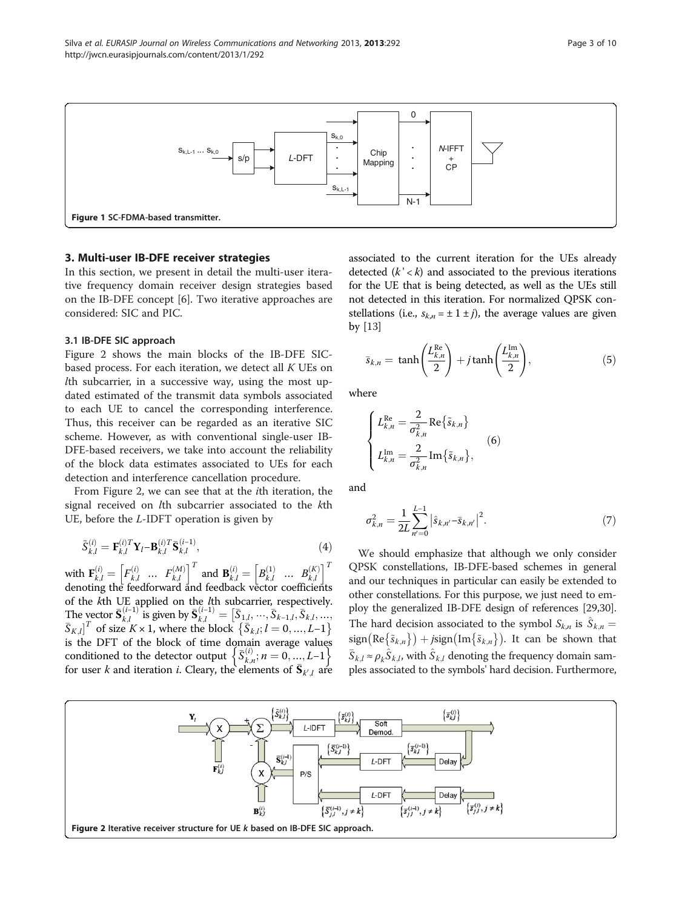<span id="page-2-0"></span>

# 3. Multi-user IB-DFE receiver strategies

In this section, we present in detail the multi-user iterative frequency domain receiver design strategies based on the IB-DFE concept [\[6](#page-9-0)]. Two iterative approaches are considered: SIC and PIC.

# 3.1 IB-DFE SIC approach

Figure 2 shows the main blocks of the IB-DFE SICbased process. For each iteration, we detect all  $K$  UEs on lth subcarrier, in a successive way, using the most updated estimated of the transmit data symbols associated to each UE to cancel the corresponding interference. Thus, this receiver can be regarded as an iterative SIC scheme. However, as with conventional single-user IB-DFE-based receivers, we take into account the reliability of the block data estimates associated to UEs for each detection and interference cancellation procedure.

From Figure 2, we can see that at the ith iteration, the signal received on lth subcarrier associated to the kth UE, before the L-IDFT operation is given by

$$
\tilde{S}_{k,l}^{(i)} = \mathbf{F}_{k,l}^{(i)T} \mathbf{Y}_l - \mathbf{B}_{k,l}^{(i)T} \bar{\mathbf{S}}_{k,l}^{(i-1)},
$$
\n(4)

with  $\mathbf{F}_{k,l}^{(i)} = \begin{bmatrix} F_{k,l}^{(i)} & \cdots & F_{k,l}^{(M)} \end{bmatrix}^T$  and  $\mathbf{B}_{k,l}^{(i)} = \begin{bmatrix} B_{k,l}^{(1)} & \cdots & B_{k,l}^{(K)} \end{bmatrix}^T$ denoting the feedforward and feedback vector coefficients of the kth UE applied on the lth subcarrier, respectively. The vector  $\bar{\mathbf{S}}_{k,l}^{(i-1)}$  is given by  $\bar{\mathbf{S}}_{k,l}^{(i-1)} = [\bar{S}_{1,l}, \dots, \bar{S}_{k-1,l}, \bar{S}_{k,l}, \dots,$  $[\bar{S}_{K,l}]^T$  of size  $K \times 1$ , where the block  $\{\bar{S}_{k,l}; l = 0, ..., L-1\}$ is the DFT of the block of time domain average values conditioned to the detector output  $\left\{ \overline{S}_{k,n}^{(i)}; n=0,...,L-1 \right\}$ for user k and iteration *i*. Cleary, the elements of  $\bar{\mathbf{S}}_{k',l}$  are

associated to the current iteration for the UEs already detected  $(k' < k)$  and associated to the previous iterations for the UE that is being detected, as well as the UEs still not detected in this iteration. For normalized QPSK constellations (i.e.,  $s_{k,n} = \pm 1 \pm j$ ), the average values are given by [[13](#page-9-0)]

$$
\bar{s}_{k,n} = \tanh\left(\frac{L_{k,n}^{\text{Re}}}{2}\right) + j \tanh\left(\frac{L_{k,n}^{\text{Im}}}{2}\right),\tag{5}
$$

where

$$
\begin{cases}\nL_{k,n}^{\text{Re}} = \frac{2}{\sigma_{k,n}^2} \text{Re}\{\tilde{s}_{k,n}\} \\
L_{k,n}^{\text{Im}} = \frac{2}{\sigma_{k,n}^2} \text{Im}\{\tilde{s}_{k,n}\},\n\end{cases} \tag{6}
$$

and

$$
\sigma_{k,n}^2 = \frac{1}{2L} \sum_{n'=0}^{L-1} |\hat{s}_{k,n'} - \bar{s}_{k,n'}|^2.
$$
 (7)

We should emphasize that although we only consider QPSK constellations, IB-DFE-based schemes in general and our techniques in particular can easily be extended to other constellations. For this purpose, we just need to employ the generalized IB-DFE design of references [\[29,30](#page-9-0)]. The hard decision associated to the symbol  $S_{k,n}$  is  $\hat{S}_{k,n}$  $sign(Re\{\tilde{s}_{k,n}\}) + jsign(Im\{\tilde{s}_{k,n}\})$ . It can be shown that  $\bar{S}_{k,l} \approx \rho_k \hat{S}_{k,l}$ , with  $\hat{S}_{k,l}$  denoting the frequency domain samples associated to the symbols' hard decision. Furthermore,

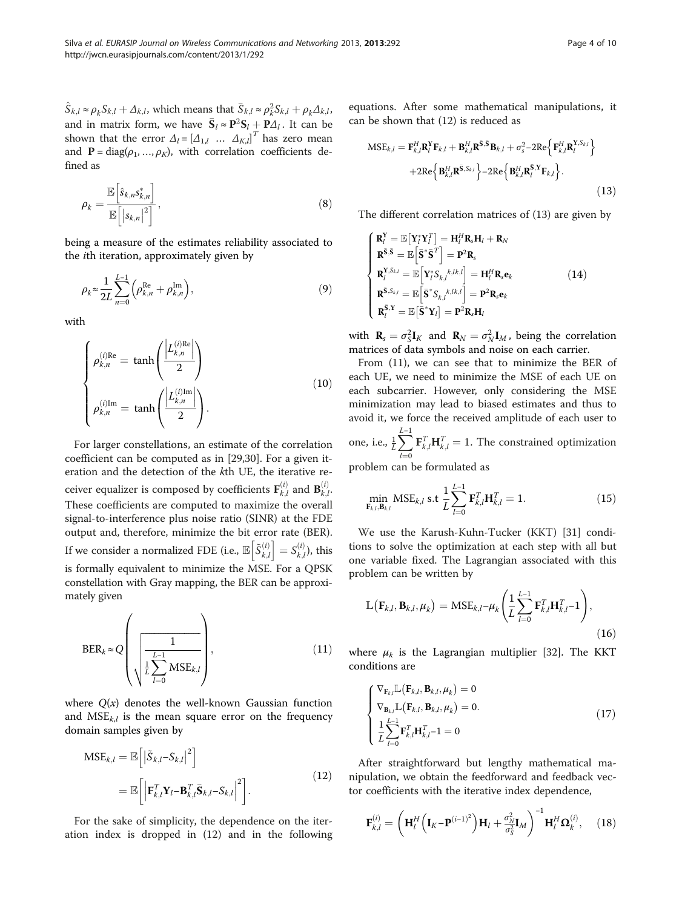<span id="page-3-0"></span> $\hat{S}_{k,l} \approx \rho_k S_{k,l} + \Delta_{k,l}$ , which means that  $\bar{S}_{k,l} \approx \rho_k^2 S_{k,l} + \rho_k \Delta_{k,l}$ , and in matrix form, we have  $\bar{S}_l \approx P^2 S_l + P \Delta_l$ . It can be shown that the error  $\Delta_l = [\Delta_{1,l} \dots \Delta_{K,l}]^T$  has zero mean and  $P = diag(\rho_1, ..., \rho_K)$ , with correlation coefficients defined as

$$
\rho_k = \frac{\mathbb{E}\left[\hat{s}_{k,n} s_{k,n}^*\right]}{\mathbb{E}\left[\left|s_{k,n}\right|^2\right]},\tag{8}
$$

being a measure of the estimates reliability associated to the ith iteration, approximately given by

$$
\rho_k \approx \frac{1}{2L} \sum_{n=0}^{L-1} \left( \rho_{k,n}^{\text{Re}} + \rho_{k,n}^{\text{Im}} \right),\tag{9}
$$

with

$$
\begin{cases}\n\rho_{k,n}^{(i)\text{Re}} = \tanh\left(\frac{\left|L_{k,n}^{(i)\text{Re}}\right|}{2}\right) \\
\rho_{k,n}^{(i)\text{Im}} = \tanh\left(\frac{\left|L_{k,n}^{(i)\text{Im}}\right|}{2}\right).\n\end{cases}
$$
\n(10)

For larger constellations, an estimate of the correlation coefficient can be computed as in [[29,30\]](#page-9-0). For a given iteration and the detection of the kth UE, the iterative receiver equalizer is composed by coefficients  $\mathbf{F}_{k,l}^{(i)}$  and  $\mathbf{B}_{k,l}^{(i)}$ These coefficients are computed to maximize the overall signal-to-interference plus noise ratio (SINR) at the FDE output and, therefore, minimize the bit error rate (BER). If we consider a normalized FDE (i.e.,  $\mathbb{E}\left[\tilde{S}_{k,l}^{(i)}\right] = S_{k,l}^{(i)}$ ), this is formally equivalent to minimize the MSE. For a QPSK constellation with Gray mapping, the BER can be approximately given

$$
BER_{k} \approx Q \left( \frac{1}{\frac{1}{L} \sum_{l=0}^{L-1} MSE_{k,l}} \right), \tag{11}
$$

where  $Q(x)$  denotes the well-known Gaussian function and  $MSE_{k,l}$  is the mean square error on the frequency domain samples given by

$$
MSE_{k,l} = \mathbb{E}\left[\left|\tilde{S}_{k,l} - S_{k,l}\right|^2\right]
$$
  
= 
$$
\mathbb{E}\left[\left|\mathbf{F}_{k,l}^T \mathbf{Y}_l - \mathbf{B}_{k,l}^T \bar{\mathbf{S}}_{k,l} - S_{k,l}\right|^2\right].
$$
 (12)

For the sake of simplicity, the dependence on the iteration index is dropped in (12) and in the following equations. After some mathematical manipulations, it can be shown that (12) is reduced as

$$
MSE_{k,l} = \mathbf{F}_{k,l}^{H} \mathbf{R}_{l}^{Y} \mathbf{F}_{k,l} + \mathbf{B}_{k,l}^{H} \mathbf{R}^{\bar{S},\bar{S}} \mathbf{B}_{k,l} + \sigma_{s}^{2} - 2Re\left\{ \mathbf{F}_{k,l}^{H} \mathbf{R}_{l}^{Y,S_{k,l}} \right\} + 2Re\left\{ \mathbf{B}_{k,l}^{H} \mathbf{R}_{s}^{\bar{S},X_{k,l}} \right\} - 2Re\left\{ \mathbf{B}_{k,l}^{H} \mathbf{R}_{l}^{\bar{S},Y} \mathbf{F}_{k,l} \right\}.
$$
\n(13)

The different correlation matrices of (13) are given by

$$
\begin{cases}\n\mathbf{R}_{I}^{Y} = \mathbb{E}\left[\mathbf{Y}_{I}^{*}\mathbf{Y}_{I}^{T}\right] = \mathbf{H}_{I}^{H}\mathbf{R}_{s}\mathbf{H}_{I} + \mathbf{R}_{N} \\
\mathbf{R}^{\bar{\mathbf{S}},\bar{\mathbf{S}}} = \mathbb{E}\left[\bar{\mathbf{S}}^{*}\bar{\mathbf{S}}^{T}\right] = \mathbf{P}^{2}\mathbf{R}_{s} \\
\mathbf{R}_{I}^{Y,S_{k,l}} = \mathbb{E}\left[\mathbf{Y}_{I}^{*}S_{k,l}^{k,lk,l}\right] = \mathbf{H}_{I}^{H}\mathbf{R}_{s}\mathbf{e}_{k} \\
\mathbf{R}^{\bar{\mathbf{S}},S_{k,l}} = \mathbb{E}\left[\bar{\mathbf{S}}^{*}S_{k,l}^{k,lk,l}\right] = \mathbf{P}^{2}\mathbf{R}_{s}\mathbf{e}_{k} \\
\mathbf{R}_{I}^{\bar{\mathbf{S}},Y} = \mathbb{E}\left[\bar{\mathbf{S}}^{*}\mathbf{Y}_{I}\right] = \mathbf{P}^{2}\mathbf{R}_{s}\mathbf{H}_{I}\n\end{cases}
$$
\n(14)

with  $\mathbf{R}_s = \sigma_S^2 \mathbf{I}_K$  and  $\mathbf{R}_N = \sigma_N^2 \mathbf{I}_M$ , being the correlation matrices of data symbols and noise on each carrier.

From (11), we can see that to minimize the BER of each UE, we need to minimize the MSE of each UE on each subcarrier. However, only considering the MSE minimization may lead to biased estimates and thus to avoid it, we force the received amplitude of each user to

one, i.e.,  $\frac{1}{L} \sum_{n=1}^{L-1}$  $l=0$  ${\bf F}^T_{k,l}{\bf H}^T_{k,l} = 1$ . The constrained optimization

problem can be formulated as

$$
\min_{\mathbf{F}_{k,l}, \mathbf{B}_{k,l}} \text{MSE}_{k,l} \text{ s.t } \frac{1}{L} \sum_{l=0}^{L-1} \mathbf{F}_{k,l}^T \mathbf{H}_{k,l}^T = 1. \tag{15}
$$

We use the Karush-Kuhn-Tucker (KKT) [\[31](#page-9-0)] conditions to solve the optimization at each step with all but one variable fixed. The Lagrangian associated with this problem can be written by

$$
\mathbb{L}\left(\mathbf{F}_{k,l}, \mathbf{B}_{k,l}, \mu_k\right) = \text{MSE}_{k,l} - \mu_k \left(\frac{1}{L} \sum_{l=0}^{L-1} \mathbf{F}_{k,l}^T \mathbf{H}_{k,l}^T - 1\right),\tag{16}
$$

where  $\mu_k$  is the Lagrangian multiplier [\[32](#page-9-0)]. The KKT conditions are

$$
\begin{cases}\n\nabla_{\mathbf{F}_{k,l}} \mathbb{L}(\mathbf{F}_{k,l}, \mathbf{B}_{k,l}, \mu_k) = 0 \\
\nabla_{\mathbf{B}_{k,l}} \mathbb{L}(\mathbf{F}_{k,l}, \mathbf{B}_{k,l}, \mu_k) = 0. \\
\frac{1}{L} \sum_{l=0}^{L-1} \mathbf{F}_{k,l}^T \mathbf{H}_{k,l}^T - 1 = 0\n\end{cases}
$$
\n(17)

After straightforward but lengthy mathematical manipulation, we obtain the feedforward and feedback vector coefficients with the iterative index dependence,

$$
\mathbf{F}_{k,l}^{(i)} = \left(\mathbf{H}_{l}^{H}\left(\mathbf{I}_{K}-\mathbf{P}^{(i-1)^{2}}\right)\mathbf{H}_{l}+\frac{\sigma_{N}^{2}}{\sigma_{S}^{2}}\mathbf{I}_{M}\right)^{-1}\mathbf{H}_{l}^{H}\Omega_{k}^{(i)}, \quad (18)
$$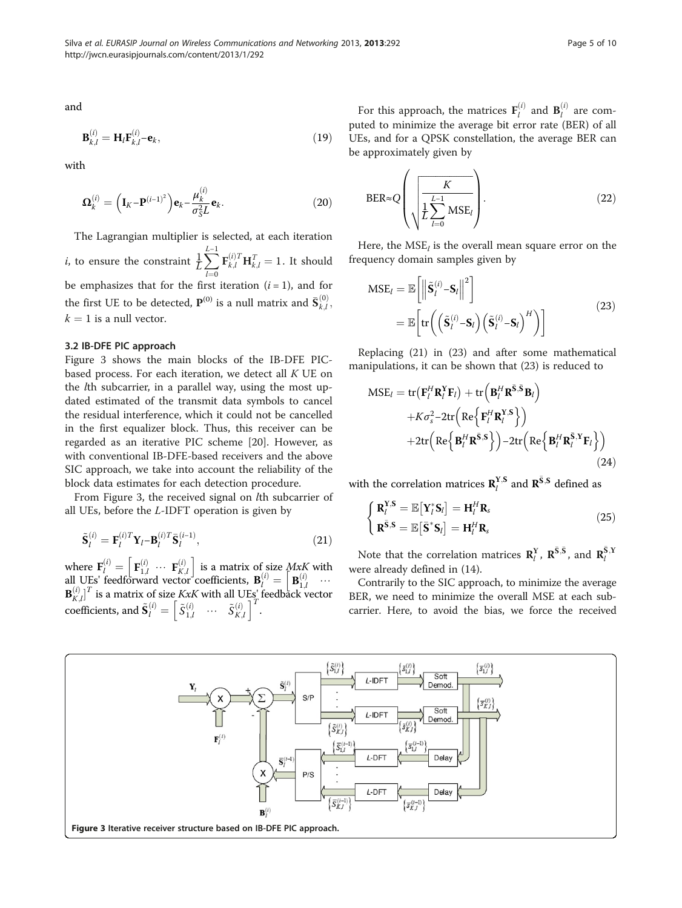$$
\mathbf{B}_{k,l}^{(i)} = \mathbf{H}_l \mathbf{F}_{k,l}^{(i)} - \mathbf{e}_k,\tag{19}
$$

with

$$
\mathbf{\Omega}_{k}^{(i)} = \left(\mathbf{I}_{K} - \mathbf{P}^{(i-1)^{2}}\right)\mathbf{e}_{k} - \frac{\mu_{k}^{(i)}}{\sigma_{S}^{2}L}\mathbf{e}_{k}.
$$
\n(20)

The Lagrangian multiplier is selected, at each iteration *i*, to ensure the constraint  $\frac{1}{L} \sum_{n=1}^{L-1}$  $l=0$  $\mathbf{F}_{k,l}^{(i)T} \mathbf{H}_{k,l}^T = 1$ . It should be emphasizes that for the first iteration  $(i = 1)$ , and for the first UE to be detected,  $\mathbf{P}^{(0)}$  is a null matrix and  $\bar{\mathbf{S}}_{k,l}^{(0)}$  ,  $k = 1$  is a null vector.

# 3.2 IB-DFE PIC approach

Figure 3 shows the main blocks of the IB-DFE PICbased process. For each iteration, we detect all  $K$  UE on the lth subcarrier, in a parallel way, using the most updated estimated of the transmit data symbols to cancel the residual interference, which it could not be cancelled in the first equalizer block. Thus, this receiver can be regarded as an iterative PIC scheme [[20\]](#page-9-0). However, as with conventional IB-DFE-based receivers and the above SIC approach, we take into account the reliability of the block data estimates for each detection procedure.

From Figure 3, the received signal on lth subcarrier of all UEs, before the L-IDFT operation is given by

$$
\tilde{\mathbf{S}}_l^{(i)} = \mathbf{F}_l^{(i)T} \mathbf{Y}_l - \mathbf{B}_l^{(i)T} \bar{\mathbf{S}}_l^{(i-1)},\tag{21}
$$

where  $\mathbf{F}_l^{(i)} = \begin{bmatrix} \mathbf{F}_{1,l}^{(i)} & \cdots & \mathbf{F}_{K,l}^{(i)} \end{bmatrix}$  is a matrix of size  $MxK$  with all UEs' feedforward vector coefficients,  $\mathbf{B}_{l}^{(i)} = \begin{bmatrix} \mathbf{B}_{1,l}^{(i)} & \cdots \\ \cdots & \cdots & \cdots \end{bmatrix}$  $\mathbf{B}_{K,l}^{(i)}\big]^T$  is a matrix of size KxK with all UEs' feedback vector coefficients, and  $\tilde{\mathbf{S}}_l^{(i)} = \begin{bmatrix} \tilde{S}_{1,l}^{(i)} & \cdots & \tilde{S}_{K,l}^{(i)} \end{bmatrix}^T$ .

For this approach, the matrices  $\mathbf{F}_l^{(i)}$  and  $\mathbf{B}_l^{(i)}$  are computed to minimize the average bit error rate (BER) of all UEs, and for a QPSK constellation, the average BER can be approximately given by

$$
BER \approx Q \left( \sqrt{\frac{K}{L \sum_{l=0}^{L-1} MSE_l}} \right). \tag{22}
$$

Here, the  $MSE_l$  is the overall mean square error on the frequency domain samples given by

$$
MSE_{l} = \mathbb{E}\left[\left\|\tilde{\mathbf{S}}_{l}^{(i)} - \mathbf{S}_{l}\right\|^{2}\right]
$$
  
= 
$$
\mathbb{E}\left[\text{tr}\left(\left(\tilde{\mathbf{S}}_{l}^{(i)} - \mathbf{S}_{l}\right)\left(\tilde{\mathbf{S}}_{l}^{(i)} - \mathbf{S}_{l}\right)^{H}\right)\right]
$$
 (23)

Replacing (21) in (23) and after some mathematical manipulations, it can be shown that (23) is reduced to

$$
MSE_{l} = tr(F_{l}^{H} \mathbf{R}_{l}^{Y} \mathbf{F}_{l}) + tr\left(\mathbf{B}_{l}^{H} \mathbf{R}^{\bar{S}, \bar{S}} \mathbf{B}_{l}\right) + K\sigma_{s}^{2} - 2tr\left(\text{Re}\left\{\mathbf{F}_{l}^{H} \mathbf{R}_{l}^{Y,S}\right\}\right) + 2tr\left(\text{Re}\left\{\mathbf{B}_{l}^{H} \mathbf{R}^{\bar{S}, S}\right\}\right) - 2tr\left(\text{Re}\left\{\mathbf{B}_{l}^{H} \mathbf{R}_{l}^{\bar{S}, Y} \mathbf{F}_{l}\right\}\right)
$$
(24)

with the correlation matrices  $\mathbf{R}_{l}^{\mathbf{Y},\mathbf{S}}$  and  $\mathbf{R}^{\bar{\mathbf{S}},\mathbf{S}}$  defined as

$$
\begin{cases}\n\mathbf{R}_{l}^{\mathbf{Y},\mathbf{S}} = \mathbb{E}\left[\mathbf{Y}_{l}^{*}\mathbf{S}_{l}\right] = \mathbf{H}_{l}^{H}\mathbf{R}_{s} \\
\mathbf{R}^{\bar{\mathbf{S}},\mathbf{S}} = \mathbb{E}\left[\bar{\mathbf{S}}^{*}\mathbf{S}_{l}\right] = \mathbf{H}_{l}^{H}\mathbf{R}_{s}\n\end{cases}
$$
\n(25)

Note that the correlation matrices  $\mathbb{R}_{l}^{\Upsilon}$ ,  $\mathbb{R}^{\bar{S},\bar{S}}$ , and  $\mathbb{R}_{l}^{\bar{S},\Upsilon}$ were already defined in [\(14\)](#page-3-0).

Contrarily to the SIC approach, to minimize the average BER, we need to minimize the overall MSE at each subcarrier. Here, to avoid the bias, we force the received

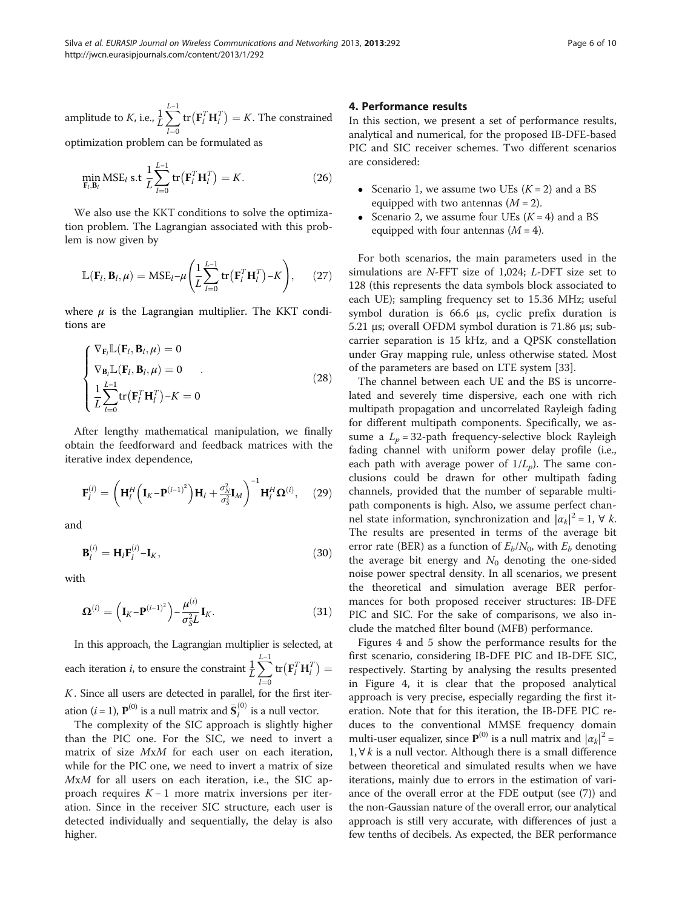<span id="page-5-0"></span>amplitude to *K*, i.e.,  $\frac{1}{L} \sum_{i=1}^{L-1}$  $l=0$  $\mathrm{tr}\big(\mathbf{F}_{l}^{T}\mathbf{H}_{l}^{T}\big)=K.$  The constrained

optimization problem can be formulated as

$$
\min_{\mathbf{F}_l, \mathbf{B}_l} \text{MSE}_l \text{ s.t } \frac{1}{L} \sum_{l=0}^{L-1} \text{tr}\left(\mathbf{F}_l^T \mathbf{H}_l^T\right) = K. \tag{26}
$$

We also use the KKT conditions to solve the optimization problem. The Lagrangian associated with this problem is now given by

$$
\mathbb{L}(\mathbf{F}_l, \mathbf{B}_l, \mu) = \text{MSE}_l - \mu \left( \frac{1}{L} \sum_{l=0}^{L-1} \text{tr} \left( \mathbf{F}_l^T \mathbf{H}_l^T \right) - K \right), \qquad (27)
$$

where  $\mu$  is the Lagrangian multiplier. The KKT conditions are

$$
\begin{cases}\n\nabla_{\mathbf{F}_{l}} \mathbb{L}(\mathbf{F}_{l}, \mathbf{B}_{l}, \mu) = 0 \\
\nabla_{\mathbf{B}_{l}} \mathbb{L}(\mathbf{F}_{l}, \mathbf{B}_{l}, \mu) = 0 \\
\frac{1}{L} \sum_{l=0}^{L-1} \text{tr}(\mathbf{F}_{l}^{T} \mathbf{H}_{l}^{T}) - K = 0\n\end{cases}
$$
\n(28)

After lengthy mathematical manipulation, we finally obtain the feedforward and feedback matrices with the iterative index dependence,

$$
\mathbf{F}_{l}^{(i)} = \left(\mathbf{H}_{l}^{H}\left(\mathbf{I}_{K}-\mathbf{P}^{(i-1)^{2}}\right)\mathbf{H}_{l}+\frac{\sigma_{N}^{2}}{\sigma_{S}^{2}}\mathbf{I}_{M}\right)^{-1}\mathbf{H}_{l}^{H}\mathbf{\Omega}^{(i)},\quad(29)
$$

and

$$
\mathbf{B}_l^{(i)} = \mathbf{H}_l \mathbf{F}_l^{(i)} - \mathbf{I}_K,\tag{30}
$$

with

$$
\mathbf{\Omega}^{(i)} = \left(\mathbf{I}_K - \mathbf{P}^{(i-1)^2}\right) - \frac{\mu^{(i)}}{\sigma_S^2 L} \mathbf{I}_K.
$$
\n(31)

In this approach, the Lagrangian multiplier is selected, at each iteration *i*, to ensure the constraint  $\frac{1}{L} \sum_{i=1}^{L-1}$  $l=0$  $\mathrm{tr}\big(\mathbf{F}_{l}^{T}\mathbf{H}_{l}^{T}\big)=$  $K.$  Since all users are detected in parallel, for the first iteration ( $i$  = 1),  $\mathbf{P}^{(0)}$  is a null matrix and  $\bar{\mathbf{S}}_l^{(0)}$  is a null vector.

The complexity of the SIC approach is slightly higher than the PIC one. For the SIC, we need to invert a matrix of size MxM for each user on each iteration, while for the PIC one, we need to invert a matrix of size MxM for all users on each iteration, i.e., the SIC approach requires  $K - 1$  more matrix inversions per iteration. Since in the receiver SIC structure, each user is detected individually and sequentially, the delay is also higher.

# 4. Performance results

In this section, we present a set of performance results, analytical and numerical, for the proposed IB-DFE-based PIC and SIC receiver schemes. Two different scenarios are considered:

- Scenario 1, we assume two UEs  $(K = 2)$  and a BS equipped with two antennas  $(M = 2)$ .
- Scenario 2, we assume four UEs  $(K = 4)$  and a BS equipped with four antennas  $(M = 4)$ .

For both scenarios, the main parameters used in the simulations are N-FFT size of 1,024; L-DFT size set to 128 (this represents the data symbols block associated to each UE); sampling frequency set to 15.36 MHz; useful symbol duration is 66.6 μs, cyclic prefix duration is 5.21 μs; overall OFDM symbol duration is 71.86 μs; subcarrier separation is 15 kHz, and a QPSK constellation under Gray mapping rule, unless otherwise stated. Most of the parameters are based on LTE system [\[33\]](#page-9-0).

The channel between each UE and the BS is uncorrelated and severely time dispersive, each one with rich multipath propagation and uncorrelated Rayleigh fading for different multipath components. Specifically, we assume a  $L_p = 32$ -path frequency-selective block Rayleigh fading channel with uniform power delay profile (i.e., each path with average power of  $1/L_p$ ). The same conclusions could be drawn for other multipath fading channels, provided that the number of separable multipath components is high. Also, we assume perfect channel state information, synchronization and  $|\alpha_k|^2 = 1$ ,  $\forall k$ . The results are presented in terms of the average bit error rate (BER) as a function of  $E_b/N_0$ , with  $E_b$  denoting the average bit energy and  $N_0$  denoting the one-sided noise power spectral density. In all scenarios, we present the theoretical and simulation average BER performances for both proposed receiver structures: IB-DFE PIC and SIC. For the sake of comparisons, we also include the matched filter bound (MFB) performance.

Figures [4](#page-6-0) and [5](#page-6-0) show the performance results for the first scenario, considering IB-DFE PIC and IB-DFE SIC, respectively. Starting by analysing the results presented in Figure [4,](#page-6-0) it is clear that the proposed analytical approach is very precise, especially regarding the first iteration. Note that for this iteration, the IB-DFE PIC reduces to the conventional MMSE frequency domain multi-user equalizer, since  $P^{(0)}$  is a null matrix and  $|\alpha_k|^2 =$ 1, ∀ k is a null vector. Although there is a small difference between theoretical and simulated results when we have iterations, mainly due to errors in the estimation of variance of the overall error at the FDE output (see [\(7](#page-2-0))) and the non-Gaussian nature of the overall error, our analytical approach is still very accurate, with differences of just a few tenths of decibels. As expected, the BER performance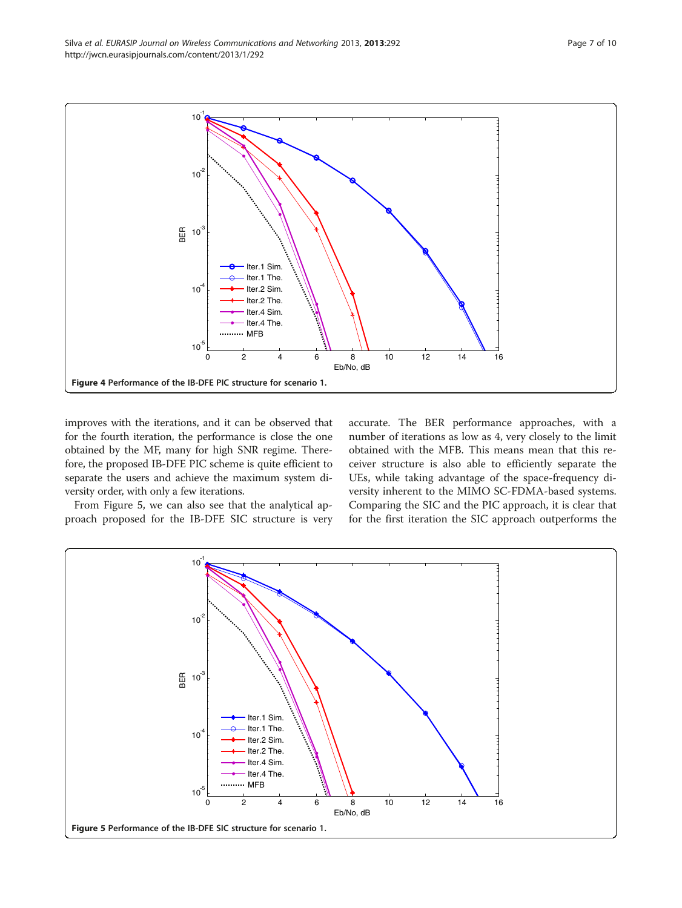<span id="page-6-0"></span>

improves with the iterations, and it can be observed that for the fourth iteration, the performance is close the one obtained by the MF, many for high SNR regime. Therefore, the proposed IB-DFE PIC scheme is quite efficient to separate the users and achieve the maximum system diversity order, with only a few iterations.

From Figure 5, we can also see that the analytical approach proposed for the IB-DFE SIC structure is very

accurate. The BER performance approaches, with a number of iterations as low as 4, very closely to the limit obtained with the MFB. This means mean that this receiver structure is also able to efficiently separate the UEs, while taking advantage of the space-frequency diversity inherent to the MIMO SC-FDMA-based systems. Comparing the SIC and the PIC approach, it is clear that for the first iteration the SIC approach outperforms the

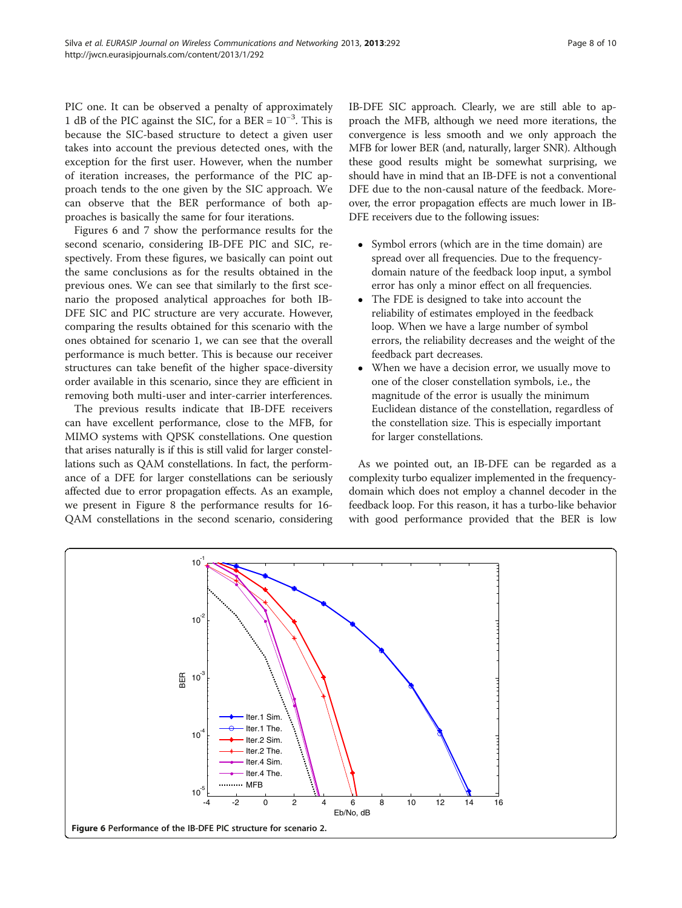PIC one. It can be observed a penalty of approximately 1 dB of the PIC against the SIC, for a BER =  $10^{-3}$ . This is because the SIC-based structure to detect a given user takes into account the previous detected ones, with the exception for the first user. However, when the number of iteration increases, the performance of the PIC approach tends to the one given by the SIC approach. We can observe that the BER performance of both approaches is basically the same for four iterations.

Figures 6 and [7](#page-8-0) show the performance results for the second scenario, considering IB-DFE PIC and SIC, respectively. From these figures, we basically can point out the same conclusions as for the results obtained in the previous ones. We can see that similarly to the first scenario the proposed analytical approaches for both IB-DFE SIC and PIC structure are very accurate. However, comparing the results obtained for this scenario with the ones obtained for scenario 1, we can see that the overall performance is much better. This is because our receiver structures can take benefit of the higher space-diversity order available in this scenario, since they are efficient in removing both multi-user and inter-carrier interferences.

The previous results indicate that IB-DFE receivers can have excellent performance, close to the MFB, for MIMO systems with QPSK constellations. One question that arises naturally is if this is still valid for larger constellations such as QAM constellations. In fact, the performance of a DFE for larger constellations can be seriously affected due to error propagation effects. As an example, we present in Figure [8](#page-8-0) the performance results for 16- QAM constellations in the second scenario, considering IB-DFE SIC approach. Clearly, we are still able to approach the MFB, although we need more iterations, the convergence is less smooth and we only approach the MFB for lower BER (and, naturally, larger SNR). Although these good results might be somewhat surprising, we should have in mind that an IB-DFE is not a conventional DFE due to the non-causal nature of the feedback. Moreover, the error propagation effects are much lower in IB-DFE receivers due to the following issues:

- Symbol errors (which are in the time domain) are spread over all frequencies. Due to the frequencydomain nature of the feedback loop input, a symbol error has only a minor effect on all frequencies.
- The FDE is designed to take into account the reliability of estimates employed in the feedback loop. When we have a large number of symbol errors, the reliability decreases and the weight of the feedback part decreases.
- When we have a decision error, we usually move to one of the closer constellation symbols, i.e., the magnitude of the error is usually the minimum Euclidean distance of the constellation, regardless of the constellation size. This is especially important for larger constellations.

As we pointed out, an IB-DFE can be regarded as a complexity turbo equalizer implemented in the frequencydomain which does not employ a channel decoder in the feedback loop. For this reason, it has a turbo-like behavior with good performance provided that the BER is low

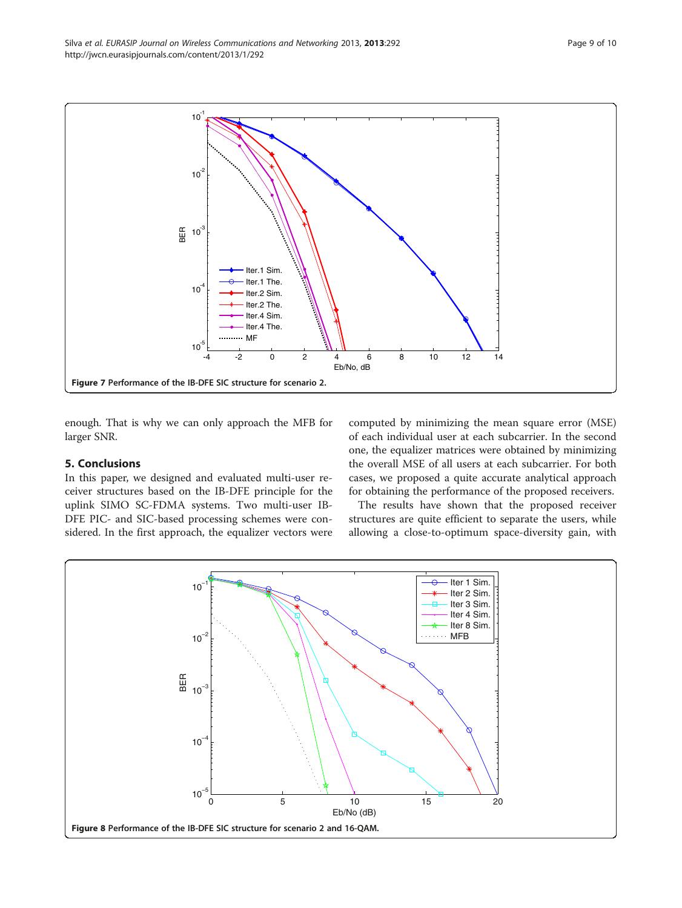<span id="page-8-0"></span>

enough. That is why we can only approach the MFB for larger SNR.

# 5. Conclusions

In this paper, we designed and evaluated multi-user receiver structures based on the IB-DFE principle for the uplink SIMO SC-FDMA systems. Two multi-user IB-DFE PIC- and SIC-based processing schemes were considered. In the first approach, the equalizer vectors were

computed by minimizing the mean square error (MSE) of each individual user at each subcarrier. In the second one, the equalizer matrices were obtained by minimizing the overall MSE of all users at each subcarrier. For both cases, we proposed a quite accurate analytical approach for obtaining the performance of the proposed receivers.

The results have shown that the proposed receiver structures are quite efficient to separate the users, while allowing a close-to-optimum space-diversity gain, with